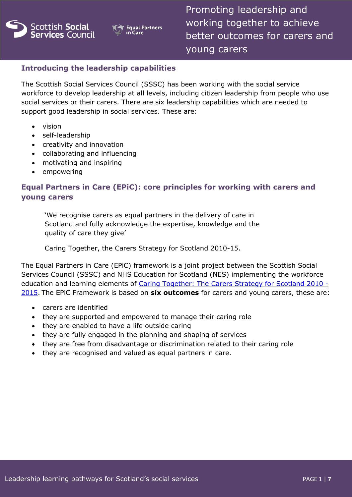



Promoting leadership and working together to achieve better outcomes for carers and young carers

# **Introducing the leadership capabilities**

The Scottish Social Services Council (SSSC) has been working with the social service workforce to develop leadership at all levels, including citizen leadership from people who use social services or their carers. There are six leadership capabilities which are needed to support good leadership in social services. These are:

- vision
- self-leadership
- creativity and innovation
- collaborating and influencing
- motivating and inspiring
- empowering

# **Equal Partners in Care (EPiC): core principles for working with carers and young carers**

'We recognise carers as equal partners in the delivery of care in Scotland and fully acknowledge the expertise, knowledge and the quality of care they give'

Caring Together, the Carers Strategy for Scotland 2010-15.

The Equal Partners in Care (EPiC) framework is a joint project between the Scottish Social Services Council (SSSC) and NHS Education for Scotland (NES) implementing the workforce education and learning elements of [Caring Together: The Carers Strategy for Scotland 2010 -](http://www.gov.scot/Resource/Doc/319441/0102104.pdf) [2015.](http://www.gov.scot/Resource/Doc/319441/0102104.pdf) The EPiC Framework is based on **six outcomes** for carers and young carers, these are:

- carers are identified
- they are supported and empowered to manage their caring role
- they are enabled to have a life outside caring
- they are fully engaged in the planning and shaping of services
- they are free from disadvantage or discrimination related to their caring role
- they are recognised and valued as equal partners in care.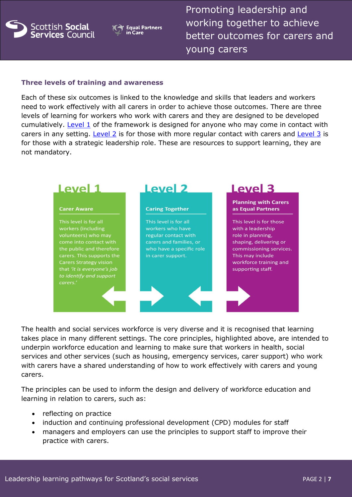

**Equal Partners** in Care

Promoting leadership and working together to achieve better outcomes for carers and young carers

#### **Three levels of training and awareness**

Each of these six outcomes is linked to the knowledge and skills that leaders and workers need to work effectively with all carers in order to achieve those outcomes. There are three levels of learning for workers who work with carers and they are designed to be developed cumulatively. [Level 1](http://www.knowledge.scot.nhs.uk/media/6806448/core%20principles-level1.pdf) of the framework is designed for anyone who may come in contact with carers in any setting. [Level 2](http://www.knowledge.scot.nhs.uk/media/6806451/core%20principles-level2.pdf) is for those with more regular contact with carers and [Level 3](http://www.knowledge.scot.nhs.uk/media/6806454/core%20principles-level3.pdf) is for those with a strategic leadership role. These are resources to support learning, they are not mandatory.



The health and social services workforce is very diverse and it is recognised that learning takes place in many different settings. The core principles, highlighted above, are intended to underpin workforce education and learning to make sure that workers in health, social services and other services (such as housing, emergency services, carer support) who work with carers have a shared understanding of how to work effectively with carers and young carers.

The principles can be used to inform the design and delivery of workforce education and learning in relation to carers, such as:

- reflecting on practice
- induction and continuing professional development (CPD) modules for staff
- managers and employers can use the principles to support staff to improve their practice with carers.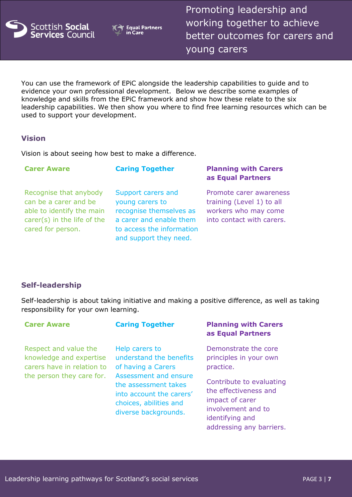

**Equal Partners** Care

Promoting leadership and working together to achieve better outcomes for carers and young carers

You can use the framework of EPiC alongside the leadership capabilities to guide and to evidence your own professional development. Below we describe some examples of knowledge and skills from the EPiC framework and show how these relate to the six leadership capabilities. We then show you where to find free learning resources which can be used to support your development.

### **Vision**

Vision is about seeing how best to make a difference.

| <b>Carer Aware</b>                                                                                                                   | <b>Caring Together</b>                                                                                                                             | <b>Planning with Carers</b><br>as Equal Partners                                                          |
|--------------------------------------------------------------------------------------------------------------------------------------|----------------------------------------------------------------------------------------------------------------------------------------------------|-----------------------------------------------------------------------------------------------------------|
| Recognise that anybody<br>can be a carer and be<br>able to identify the main<br>carer( $s$ ) in the life of the<br>cared for person. | Support carers and<br>young carers to<br>recognise themselves as<br>a carer and enable them<br>to access the information<br>and support they need. | Promote carer awareness<br>training (Level 1) to all<br>workers who may come<br>into contact with carers. |

## **Self-leadership**

Self-leadership is about taking initiative and making a positive difference, as well as taking responsibility for your own learning.

| <b>Carer Aware</b>                                                                                          | <b>Caring Together</b>                                                                                                                                                                         | <b>Planning with Carers</b><br>as Equal Partners                                                                                                                                                         |
|-------------------------------------------------------------------------------------------------------------|------------------------------------------------------------------------------------------------------------------------------------------------------------------------------------------------|----------------------------------------------------------------------------------------------------------------------------------------------------------------------------------------------------------|
| Respect and value the<br>knowledge and expertise<br>carers have in relation to<br>the person they care for. | Help carers to<br>understand the benefits<br>of having a Carers<br>Assessment and ensure<br>the assessment takes<br>into account the carers'<br>choices, abilities and<br>diverse backgrounds. | Demonstrate the core<br>principles in your own<br>practice.<br>Contribute to evaluating<br>the effectiveness and<br>impact of carer<br>involvement and to<br>identifying and<br>addressing any barriers. |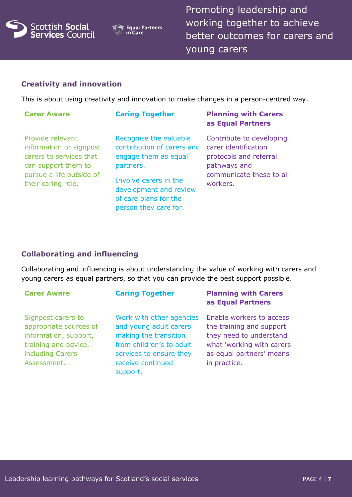



Promoting leadership and working together to achieve better outcomes for carers and young carers

### **Creativity and innovation**

This is about using creativity and innovation to make changes in a person-centred way.

| <b>Carer Aware</b>                                                                                                                              | <b>Caring Together</b>                                                                                                                                                                         | <b>Planning with Carers</b><br>as Equal Partners                                                                                   |
|-------------------------------------------------------------------------------------------------------------------------------------------------|------------------------------------------------------------------------------------------------------------------------------------------------------------------------------------------------|------------------------------------------------------------------------------------------------------------------------------------|
| Provide relevant<br>information or signpost<br>carers to services that<br>can support them to<br>pursue a life outside of<br>their caring role. | Recognise the valuable<br>contribution of carers and<br>engage them as equal<br>partners.<br>Involve carers in the<br>development and review<br>of care plans for the<br>person they care for. | Contribute to developing<br>carer identification<br>protocols and referral<br>pathways and<br>communicate these to all<br>workers. |

## **Collaborating and influencing**

Collaborating and influencing is about understanding the value of working with carers and young carers as equal partners, so that you can provide the best support possible.

| <b>Carer Aware</b>                                                                                                               | <b>Caring Together</b>                                                                                                                                              | <b>Planning with Carers</b><br>as Equal Partners                                                                                                         |
|----------------------------------------------------------------------------------------------------------------------------------|---------------------------------------------------------------------------------------------------------------------------------------------------------------------|----------------------------------------------------------------------------------------------------------------------------------------------------------|
| Signpost carers to<br>appropriate sources of<br>information, support,<br>training and advice,<br>including Carers<br>Assessment. | Work with other agencies<br>and young adult carers<br>making the transition<br>from children's to adult<br>services to ensure they<br>receive continued<br>support. | Enable workers to access<br>the training and support<br>they need to understand<br>what 'working with carers<br>as equal partners' means<br>in practice. |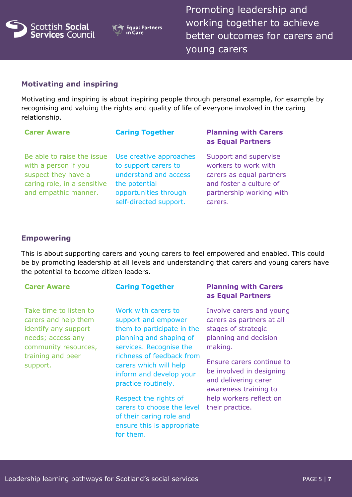

**Equal Partners**  $Caré$ 

Promoting leadership and working together to achieve better outcomes for carers and young carers

# **Motivating and inspiring**

Motivating and inspiring is about inspiring people through personal example, for example by recognising and valuing the rights and quality of life of everyone involved in the caring relationship.

| <b>Carer Aware</b>                                                                                                               | <b>Caring Together</b>                                                                                                                       | <b>Planning with Carers</b><br>as Equal Partners                                                                                            |
|----------------------------------------------------------------------------------------------------------------------------------|----------------------------------------------------------------------------------------------------------------------------------------------|---------------------------------------------------------------------------------------------------------------------------------------------|
| Be able to raise the issue<br>with a person if you<br>suspect they have a<br>caring role, in a sensitive<br>and empathic manner. | Use creative approaches<br>to support carers to<br>understand and access<br>the potential<br>opportunities through<br>self-directed support. | Support and supervise<br>workers to work with<br>carers as equal partners<br>and foster a culture of<br>partnership working with<br>carers. |

### **Empowering**

This is about supporting carers and young carers to feel empowered and enabled. This could be by promoting leadership at all levels and understanding that carers and young carers have the potential to become citizen leaders.

Take time to listen to carers and help them identify any support needs; access any community resources, training and peer support.

Work with carers to support and empower them to participate in the planning and shaping of services. Recognise the richness of feedback from carers which will help inform and develop your practice routinely.

Respect the rights of carers to choose the level of their caring role and ensure this is appropriate for them.

### **Carer Aware Caring Together Planning with Carers as Equal Partners**

Involve carers and young carers as partners at all stages of strategic planning and decision making.

Ensure carers continue to be involved in designing and delivering carer awareness training to help workers reflect on their practice.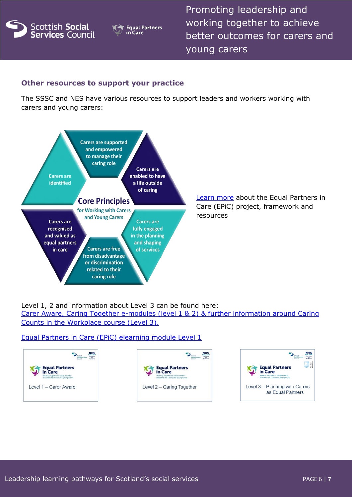

**Equal Partners** in Care

Promoting leadership and working together to achieve better outcomes for carers and young carers

# **Other resources to support your practice**

The SSSC and NES have various resources to support leaders and workers working with carers and young carers:



[Learn more](http://www.ssks.org.uk/equalpartnersincare) about the Equal Partners in Care (EPiC) project, framework and resources

Level 1, 2 and information about Level 3 can be found here:

[Carer Aware, Caring Together e-modules \(level 1 & 2\) & further information around Caring](http://www.knowledge.scot.nhs.uk/home/portals-and-topics/equal-partners-in-care/epic-elearning.aspx)  [Counts in the Workplace course \(Level 3\).](http://www.knowledge.scot.nhs.uk/home/portals-and-topics/equal-partners-in-care/epic-elearning.aspx)

#### [Equal Partners in Care \(EPiC\) elearning module Level 1](http://www.ssks.org.uk/topics/equal-partners-in-care/epic-elearning.aspx)